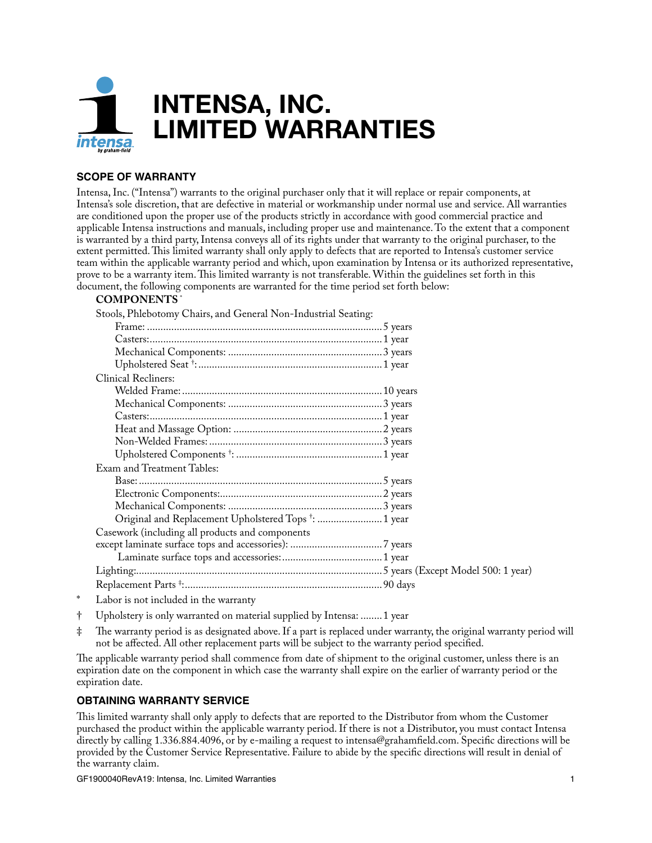

## **SCOPE OF WARRANTY**

Intensa, Inc. ("Intensa") warrants to the original purchaser only that it will replace or repair components, at Intensa's sole discretion, that are defective in material or workmanship under normal use and service. All warranties are conditioned upon the proper use of the products strictly in accordance with good commercial practice and applicable Intensa instructions and manuals, including proper use and maintenance. To the extent that a component is warranted by a third party, Intensa conveys all of its rights under that warranty to the original purchaser, to the extent permitted. This limited warranty shall only apply to defects that are reported to Intensa's customer service team within the applicable warranty period and which, upon examination by Intensa or its authorized representative, prove to be a warranty item. This limited warranty is not transferable. Within the guidelines set forth in this document, the following components are warranted for the time period set forth below:

## **COMPONENTS** \*

Stools, Phlebotomy Chairs, and General Non-Industrial Seating:

| <b>Clinical Recliners:</b>                                       |  |
|------------------------------------------------------------------|--|
|                                                                  |  |
|                                                                  |  |
|                                                                  |  |
|                                                                  |  |
|                                                                  |  |
|                                                                  |  |
| Exam and Treatment Tables:                                       |  |
|                                                                  |  |
|                                                                  |  |
|                                                                  |  |
| Original and Replacement Upholstered Tops <sup>+</sup> :  1 year |  |
| Casework (including all products and components                  |  |
|                                                                  |  |
|                                                                  |  |
|                                                                  |  |
|                                                                  |  |
|                                                                  |  |

- Labor is not included in the warranty
- † Upholstery is only warranted on material supplied by Intensa: ........1 year
- ‡ The warranty period is as designated above. If a part is replaced under warranty, the original warranty period will not be affected. All other replacement parts will be subject to the warranty period specified.

The applicable warranty period shall commence from date of shipment to the original customer, unless there is an expiration date on the component in which case the warranty shall expire on the earlier of warranty period or the expiration date.

## **OBTAINING WARRANTY SERVICE**

This limited warranty shall only apply to defects that are reported to the Distributor from whom the Customer purchased the product within the applicable warranty period. If there is not a Distributor, you must contact Intensa directly by calling 1.336.884.4096, or by e-mailing a request to intensa@grahamfield.com. Specific directions will be provided by the Customer Service Representative. Failure to abide by the specific directions will result in denial of the warranty claim.

GF1900040RevA19: Intensa, Inc. Limited Warranties 1